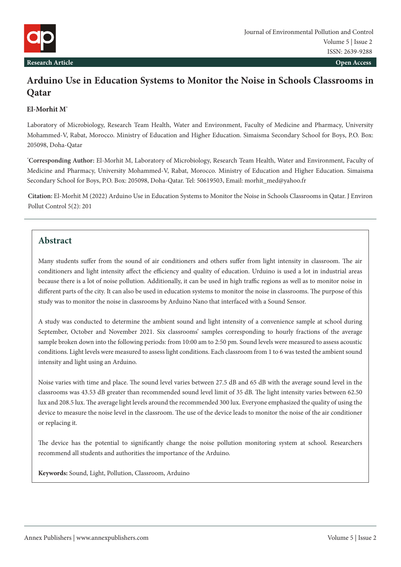

# **Arduino Use in Education Systems to Monitor the Noise in Schools Classrooms in Qatar**

#### **El-Morhit M\***

Laboratory of Microbiology, Research Team Health, Water and Environment, Faculty of Medicine and Pharmacy, University Mohammed-V, Rabat, Morocco. Ministry of Education and Higher Education. Simaisma Secondary School for Boys, P.O. Box: 205098, Doha-Qatar

**\* Corresponding Author:** El-Morhit M, Laboratory of Microbiology, Research Team Health, Water and Environment, Faculty of Medicine and Pharmacy, University Mohammed-V, Rabat, Morocco. Ministry of Education and Higher Education. Simaisma Secondary School for Boys, P.O. Box: 205098, Doha-Qatar. Tel: 50619503, Email: [morhit\\_med@yahoo.fr](morhit_med@yahoo.fr)

**Citation:** El-Morhit M (2022) Arduino Use in Education Systems to Monitor the Noise in Schools Classrooms in Qatar. J Environ Pollut Control 5(2): 201

#### **Abstract**

Many students suffer from the sound of air conditioners and others suffer from light intensity in classroom. The air conditioners and light intensity affect the efficiency and quality of education. Urduino is used a lot in industrial areas because there is a lot of noise pollution. Additionally, it can be used in high traffic regions as well as to monitor noise in different parts of the city. It can also be used in education systems to monitor the noise in classrooms. The purpose of this study was to monitor the noise in classrooms by Arduino Nano that interfaced with a Sound Sensor.

A study was conducted to determine the ambient sound and light intensity of a convenience sample at school during September, October and November 2021. Six classrooms' samples corresponding to hourly fractions of the average sample broken down into the following periods: from 10:00 am to 2:50 pm. Sound levels were measured to assess acoustic conditions. Light levels were measured to assess light conditions. Each classroom from 1 to 6 was tested the ambient sound intensity and light using an Arduino.

Noise varies with time and place. The sound level varies between 27.5 dB and 65 dB with the average sound level in the classrooms was 43.53 dB greater than recommended sound level limit of 35 dB. The light intensity varies between 62.50 lux and 208.5 lux. The average light levels around the recommended 300 lux. Everyone emphasized the quality of using the device to measure the noise level in the classroom. The use of the device leads to monitor the noise of the air conditioner or replacing it.

The device has the potential to significantly change the noise pollution monitoring system at school. Researchers recommend all students and authorities the importance of the Arduino.

**Keywords:** Sound, Light, Pollution, Classroom, Arduino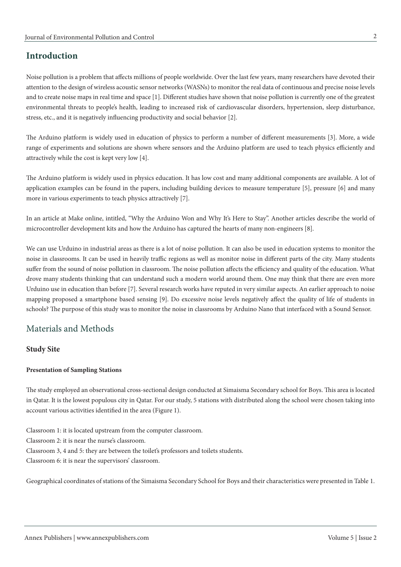### **Introduction**

Noise pollution is a problem that affects millions of people worldwide. Over the last few years, many researchers have devoted their attention to the design of wireless acoustic sensor networks (WASNs) to monitor the real data of continuous and precise noise levels and to create noise maps in real time and space [1]. Different studies have shown that noise pollution is currently one of the greatest environmental threats to people's health, leading to increased risk of cardiovascular disorders, hypertension, sleep disturbance, stress, etc., and it is negatively influencing productivity and social behavior [2].

The Arduino platform is widely used in education of physics to perform a number of different measurements [3]. More, a wide range of experiments and solutions are shown where sensors and the Arduino platform are used to teach physics efficiently and attractively while the cost is kept very low [4].

The Arduino platform is widely used in physics education. It has low cost and many additional components are available. A lot of application examples can be found in the papers, including building devices to measure temperature [5], pressure [6] and many more in various experiments to teach physics attractively [7].

In an article at Make online, intitled, "Why the Arduino Won and Why It's Here to Stay". Another articles describe the world of microcontroller development kits and how the Arduino has captured the hearts of many non-engineers [8].

We can use Urduino in industrial areas as there is a lot of noise pollution. It can also be used in education systems to monitor the noise in classrooms. It can be used in heavily traffic regions as well as monitor noise in different parts of the city. Many students suffer from the sound of noise pollution in classroom. The noise pollution affects the efficiency and quality of the education. What drove many students thinking that can understand such a modern world around them. One may think that there are even more Urduino use in education than before [7]. Several research works have reputed in very similar aspects. An earlier approach to noise mapping proposed a smartphone based sensing [9]. Do excessive noise levels negatively affect the quality of life of students in schools? The purpose of this study was to monitor the noise in classrooms by Arduino Nano that interfaced with a Sound Sensor.

### Materials and Methods

#### **Study Site**

#### **Presentation of Sampling Stations**

The study employed an observational cross-sectional design conducted at Simaisma Secondary school for Boys. This area is located in Qatar. It is the lowest populous city in Qatar. For our study, 5 stations with distributed along the school were chosen taking into account various activities identified in the area (Figure 1).

Classroom 1: it is located upstream from the computer classroom.

Classroom 2: it is near the nurse's classroom.

Classroom 3, 4 and 5: they are between the toilet's professors and toilets students.

Classroom 6: it is near the supervisors' classroom.

Geographical coordinates of stations of the Simaisma Secondary School for Boys and their characteristics were presented in Table 1.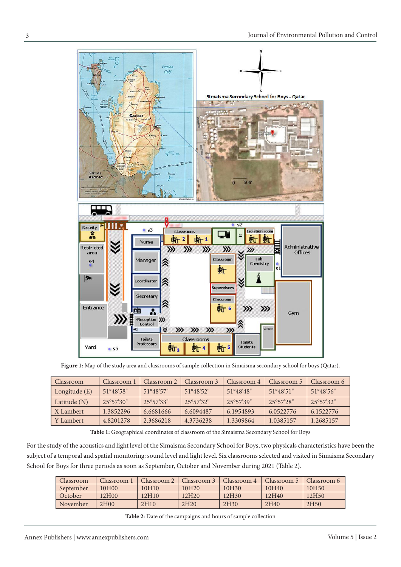

**Figure 1:** Map of the study area and classrooms of sample collection in Simaisma secondary school for boys (Qatar).

| Classroom      | Classroom 1         | Classroom 2        | Classroom 3        | Classroom 4         | Classroom 5         | Classroom 6 |
|----------------|---------------------|--------------------|--------------------|---------------------|---------------------|-------------|
| Longitude (E)  | $51^{\circ}48'58"$  | $51^{\circ}48'57"$ | $51^{\circ}48'52"$ | $51^{\circ}48'48''$ | $51^{\circ}48'51"$  | 51°48'56"   |
| Latitude $(N)$ | $25^{\circ}57'30''$ | $25^{\circ}57'33"$ | $25^{\circ}57'32"$ | 25°57'39"           | $25^{\circ}57'28''$ | 25°57'32"   |
| X Lambert      | 1.3852296           | 6.6681666          | 6.6094487          | 6.1954893           | 6.0522776           | 6.1522776   |
| Y Lambert      | 4.8201278           | 2.3686218          | 4.3736238          | 1.3309864           | 1.0385157           | 1.2685157   |

**Table 1:** Geographical coordinates of classroom of the Simaisma Secondary School for Boys

For the study of the acoustics and light level of the Simaisma Secondary School for Boys, two physicals characteristics have been the subject of a temporal and spatial monitoring: sound level and light level. Six classrooms selected and visited in Simaisma Secondary School for Boys for three periods as soon as September, October and November during 2021 (Table 2).

| Classroom | Classroom        | Classroom 2 | Classroom 3 | Classroom 4      | Classroom 5 | Classroom 6      |
|-----------|------------------|-------------|-------------|------------------|-------------|------------------|
| September | 0H <sub>0</sub>  | 10H10       | 10H20       | 10H30            | 10H40       | 10H50            |
| October   | 2H <sub>00</sub> | 12H10       | 12H20       | 12H30            | 12H40       | 12H50            |
| November  | 2H00             | 2H10        | 2H20        | 2H <sub>30</sub> | 2H40        | 2H <sub>50</sub> |

**Table 2:** Date of the campaigns and hours of sample collection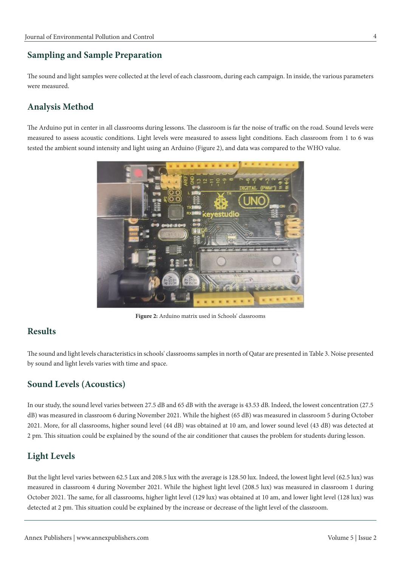### **Sampling and Sample Preparation**

The sound and light samples were collected at the level of each classroom, during each campaign. In inside, the various parameters were measured.

## **Analysis Method**

The Arduino put in center in all classrooms during lessons. The classroom is far the noise of traffic on the road. Sound levels were measured to assess acoustic conditions. Light levels were measured to assess light conditions. Each classroom from 1 to 6 was tested the ambient sound intensity and light using an Arduino (Figure 2), and data was compared to the WHO value.



**Figure 2:** Arduino matrix used in Schools' classrooms

#### **Results**

The sound and light levels characteristics in schools' classrooms samples in north of Qatar are presented in Table 3. Noise presented by sound and light levels varies with time and space.

## **Sound Levels (Acoustics)**

In our study, the sound level varies between 27.5 dB and 65 dB with the average is 43.53 dB. Indeed, the lowest concentration (27.5 dB) was measured in classroom 6 during November 2021. While the highest (65 dB) was measured in classroom 5 during October 2021. More, for all classrooms, higher sound level (44 dB) was obtained at 10 am, and lower sound level (43 dB) was detected at 2 pm. This situation could be explained by the sound of the air conditioner that causes the problem for students during lesson.

# **Light Levels**

But the light level varies between 62.5 Lux and 208.5 lux with the average is 128.50 lux. Indeed, the lowest light level (62.5 lux) was measured in classroom 4 during November 2021. While the highest light level (208.5 lux) was measured in classroom 1 during October 2021. The same, for all classrooms, higher light level (129 lux) was obtained at 10 am, and lower light level (128 lux) was detected at 2 pm. This situation could be explained by the increase or decrease of the light level of the classroom.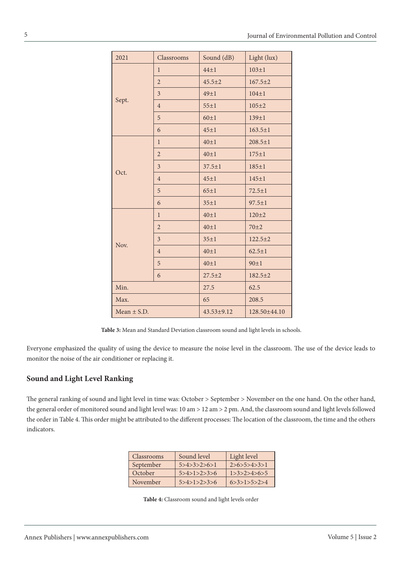|  | 2021            | Classrooms              | Sound (dB)   | Light (lux)   |
|--|-----------------|-------------------------|--------------|---------------|
|  |                 | $\mathbf{1}$            | $44\pm1$     | $103 \pm 1$   |
|  |                 | $\overline{2}$          | $45.5 \pm 2$ | $167.5 \pm 2$ |
|  |                 | $\overline{3}$          | $49\pm1$     | $104 \pm 1$   |
|  | Sept.           | $\overline{4}$          | 55±1         | $105 \pm 2$   |
|  |                 | 5                       | 60±1         | $139 \pm 1$   |
|  |                 | 6                       | $45 \pm 1$   | $163.5 \pm 1$ |
|  |                 | $\mathbf{1}$            | $40\pm1$     | $208.5 \pm 1$ |
|  |                 | $\overline{2}$          | 40±1         | $175 \pm 1$   |
|  | Oct.            | $\overline{\mathbf{3}}$ | $37.5 \pm 1$ | $185 \pm 1$   |
|  |                 | $\overline{4}$          | $45 \pm 1$   | $145 \pm 1$   |
|  |                 | 5                       | $65 \pm 1$   | $72.5 \pm 1$  |
|  |                 | 6                       | $35 \pm 1$   | $97.5 \pm 1$  |
|  | Nov.            | $\mathbf{1}$            | $40\pm1$     | $120\pm2$     |
|  |                 | $\overline{2}$          | 40±1         | 70±2          |
|  |                 | $\overline{3}$          | $35 \pm 1$   | $122.5 \pm 2$ |
|  |                 | $\overline{4}$          | 40±1         | $62.5 \pm 1$  |
|  |                 | 5                       | $40\pm1$     | 90±1          |
|  |                 | 6                       | $27.5 + 2$   | $182.5 \pm 2$ |
|  | Min.            |                         |              | 62.5          |
|  | Max.            |                         | 65           | 208.5         |
|  | Mean $\pm$ S.D. |                         | 43.53±9.12   | 128.50±44.10  |

**Table 3:** Mean and Standard Deviation classroom sound and light levels in schools.

Everyone emphasized the quality of using the device to measure the noise level in the classroom. The use of the device leads to monitor the noise of the air conditioner or replacing it.

#### **Sound and Light Level Ranking**

The general ranking of sound and light level in time was: October > September > November on the one hand. On the other hand, the general order of monitored sound and light level was: 10 am > 12 am > 2 pm. And, the classroom sound and light levels followed the order in Table 4. This order might be attributed to the different processes: The location of the classroom, the time and the others indicators.

| Classrooms | Sound level           | Light level           |
|------------|-----------------------|-----------------------|
| September  | 5 > 4 > 3 > 2 > 6 > 1 | 2>6>5>4>3>1           |
| October    | 5 > 4 > 1 > 2 > 3 > 6 | 1>3>2>4>6>5           |
| November   | 5 > 4 > 1 > 2 > 3 > 6 | 6 > 3 > 1 > 5 > 2 > 4 |

| Table 4: Classroom sound and light levels order |  |
|-------------------------------------------------|--|
|-------------------------------------------------|--|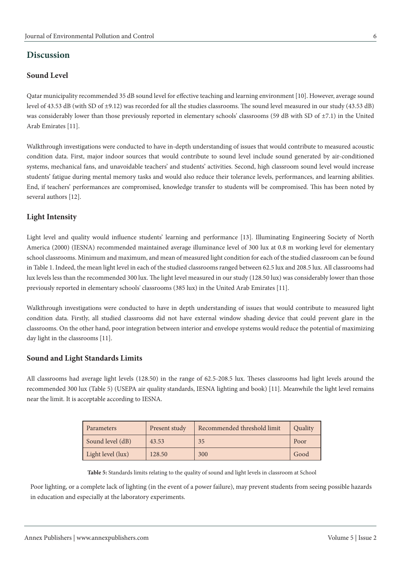## **Discussion**

#### **Sound Level**

Qatar municipality recommended 35 dB sound level for effective teaching and learning environment [10]. However, average sound level of 43.53 dB (with SD of ±9.12) was recorded for all the studies classrooms. The sound level measured in our study (43.53 dB) was considerably lower than those previously reported in elementary schools' classrooms (59 dB with SD of  $\pm$ 7.1) in the United Arab Emirates [11].

Walkthrough investigations were conducted to have in-depth understanding of issues that would contribute to measured acoustic condition data. First, major indoor sources that would contribute to sound level include sound generated by air-conditioned systems, mechanical fans, and unavoidable teachers' and students' activities. Second, high classroom sound level would increase students' fatigue during mental memory tasks and would also reduce their tolerance levels, performances, and learning abilities. End, if teachers' performances are compromised, knowledge transfer to students will be compromised. This has been noted by several authors [12].

### **Light Intensity**

Light level and quality would influence students' learning and performance [13]. Illuminating Engineering Society of North America (2000) (IESNA) recommended maintained average illuminance level of 300 lux at 0.8 m working level for elementary school classrooms. Minimum and maximum, and mean of measured light condition for each of the studied classroom can be found in Table 1. Indeed, the mean light level in each of the studied classrooms ranged between 62.5 lux and 208.5 lux. All classrooms had lux levels less than the recommended 300 lux. The light level measured in our study (128.50 lux) was considerably lower than those previously reported in elementary schools' classrooms (385 lux) in the United Arab Emirates [11].

Walkthrough investigations were conducted to have in depth understanding of issues that would contribute to measured light condition data. Firstly, all studied classrooms did not have external window shading device that could prevent glare in the classrooms. On the other hand, poor integration between interior and envelope systems would reduce the potential of maximizing day light in the classrooms [11].

#### **Sound and Light Standards Limits**

All classrooms had average light levels (128.50) in the range of 62.5-208.5 lux. Theses classrooms had light levels around the recommended 300 lux (Table 5) (USEPA air quality standards, IESNA lighting and book) [11]. Meanwhile the light level remains near the limit. It is acceptable according to IESNA.

| Parameters        | Present study | Recommended threshold limit | <b>Quality</b> |
|-------------------|---------------|-----------------------------|----------------|
| Sound level (dB)  | 43.53         | 35                          | Poor           |
| Light level (lux) | 128.50        | 300                         | Good           |

**Table 5:** Standards limits relating to the quality of sound and light levels in classroom at School

Poor lighting, or a complete lack of lighting (in the event of a power failure), may prevent students from seeing possible hazards in education and especially at the laboratory experiments.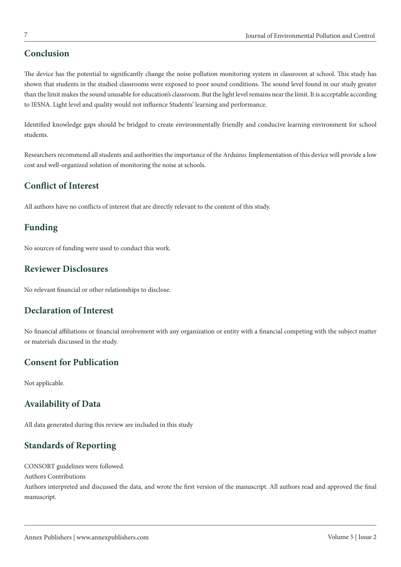# **Conclusion**

The device has the potential to significantly change the noise pollution monitoring system in classroom at school. This study has shown that students in the studied classrooms were exposed to poor sound conditions. The sound level found in our study greater than the limit makes the sound unusable for education's classroom. But the light level remains near the limit. It is acceptable according to IESNA. Light level and quality would not influence Students' learning and performance.

Identified knowledge gaps should be bridged to create environmentally friendly and conducive learning environment for school students.

Researchers recommend all students and authorities the importance of the Arduino. Implementation of this device will provide a low cost and well-organized solution of monitoring the noise at schools.

# **Conflict of Interest**

All authors have no conflicts of interest that are directly relevant to the content of this study.

## **Funding**

No sources of funding were used to conduct this work.

### **Reviewer Disclosures**

No relevant financial or other relationships to disclose.

## **Declaration of Interest**

No financial affiliations or financial involvement with any organization or entity with a financial competing with the subject matter or materials discussed in the study.

## **Consent for Publication**

Not applicable.

## **Availability of Data**

All data generated during this review are included in this study

# **Standards of Reporting**

CONSORT guidelines were followed. Authors Contributions Authors interpreted and discussed the data, and wrote the first version of the manuscript. All authors read and approved the final manuscript.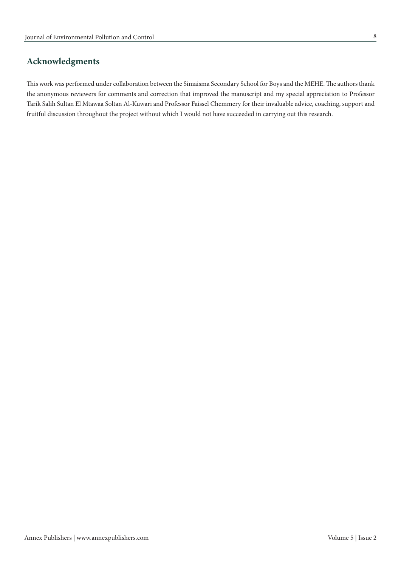# **Acknowledgments**

This work was performed under collaboration between the Simaisma Secondary School for Boys and the MEHE. The authors thank the anonymous reviewers for comments and correction that improved the manuscript and my special appreciation to Professor Tarik Salih Sultan El Mtawaa Soltan Al-Kuwari and Professor Faissel Chemmery for their invaluable advice, coaching, support and fruitful discussion throughout the project without which I would not have succeeded in carrying out this research.